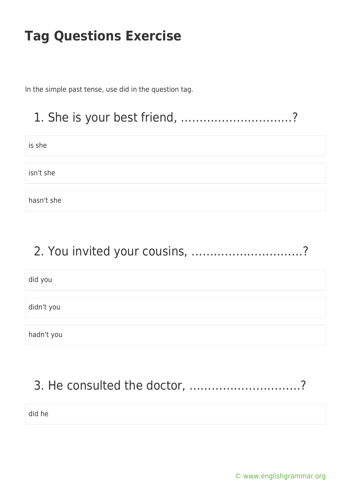In the simple past tense, use did in the question tag.

## 1. She is your best friend, …………………………?

is she

isn't she

hasn't she

#### 2. You invited your cousins, …………………………?

did you

didn't you

hadn't you

# 3. He consulted the doctor, …………………………?

did he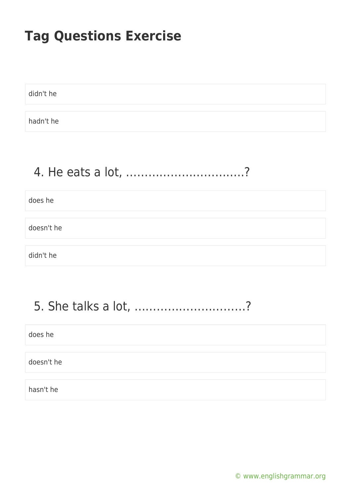didn't he

hadn't he

## 4. He eats a lot, …………………………..?

does he

doesn't he

didn't he

## 5. She talks a lot, …………………………?

does he

doesn't he

hasn't he

[© www.englishgrammar.org](https://www.englishgrammar.org/)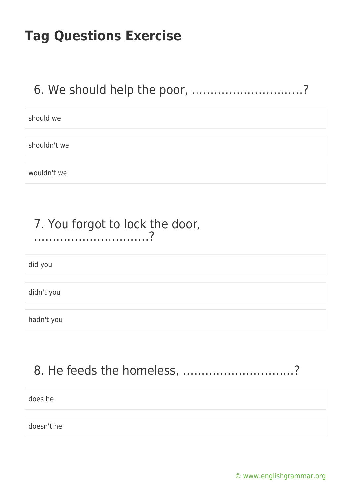#### 6. We should help the poor, …………………………?

should we

shouldn't we

wouldn't we

#### 7. You forgot to lock the door, ………………………….?

did you

didn't you

hadn't you

### 8. He feeds the homeless, …………………………?

does he

doesn't he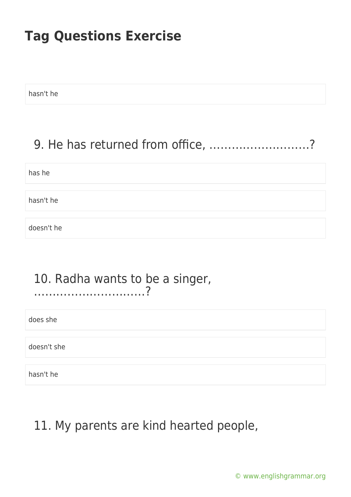hasn't he

#### 9. He has returned from office, ………………………?

has he

hasn't he

doesn't he

#### 10. Radha wants to be a singer, …………………………?

does she

doesn't she

hasn't he

### 11. My parents are kind hearted people,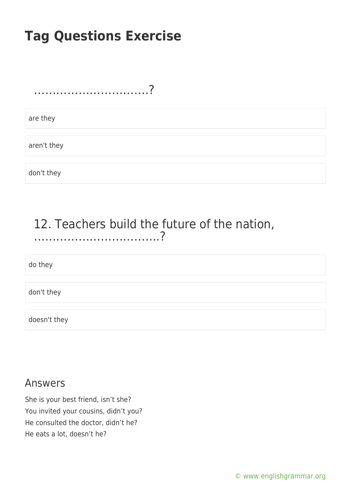………………………….?

are they

aren't they

don't they

#### 12. Teachers build the future of the nation, …………………………….?

do they

don't they

doesn't they

#### Answers

She is your best friend, isn't she? You invited your cousins, didn't you? He consulted the doctor, didn't he? He eats a lot, doesn't he?